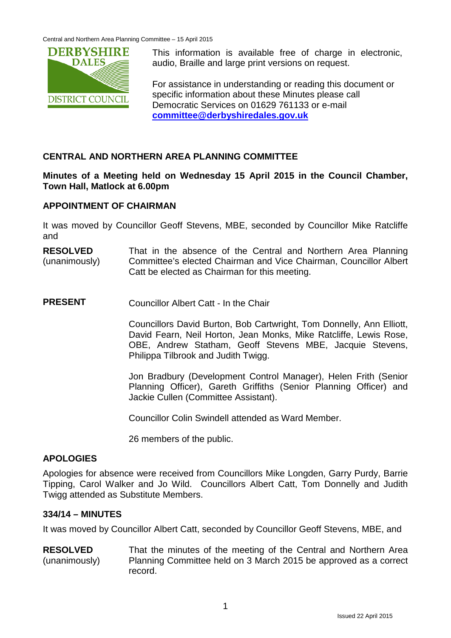

This information is available free of charge in electronic, audio, Braille and large print versions on request.

For assistance in understanding or reading this document or specific information about these Minutes please call Democratic Services on 01629 761133 or e-mail **[committee@derbyshiredales.gov.uk](mailto:committee@derbyshiredales.gov.uk)**

# **CENTRAL AND NORTHERN AREA PLANNING COMMITTEE**

**Minutes of a Meeting held on Wednesday 15 April 2015 in the Council Chamber, Town Hall, Matlock at 6.00pm**

## **APPOINTMENT OF CHAIRMAN**

It was moved by Councillor Geoff Stevens, MBE, seconded by Councillor Mike Ratcliffe and

**RESOLVED** (unanimously) That in the absence of the Central and Northern Area Planning Committee's elected Chairman and Vice Chairman, Councillor Albert Catt be elected as Chairman for this meeting.

**PRESENT** Councillor Albert Catt - In the Chair

Councillors David Burton, Bob Cartwright, Tom Donnelly, Ann Elliott, David Fearn, Neil Horton, Jean Monks, Mike Ratcliffe, Lewis Rose, OBE, Andrew Statham, Geoff Stevens MBE, Jacquie Stevens, Philippa Tilbrook and Judith Twigg.

Jon Bradbury (Development Control Manager), Helen Frith (Senior Planning Officer), Gareth Griffiths (Senior Planning Officer) and Jackie Cullen (Committee Assistant).

Councillor Colin Swindell attended as Ward Member.

26 members of the public.

#### **APOLOGIES**

Apologies for absence were received from Councillors Mike Longden, Garry Purdy, Barrie Tipping, Carol Walker and Jo Wild. Councillors Albert Catt, Tom Donnelly and Judith Twigg attended as Substitute Members.

#### **334/14 – MINUTES**

It was moved by Councillor Albert Catt, seconded by Councillor Geoff Stevens, MBE, and

**RESOLVED** (unanimously) That the minutes of the meeting of the Central and Northern Area Planning Committee held on 3 March 2015 be approved as a correct record.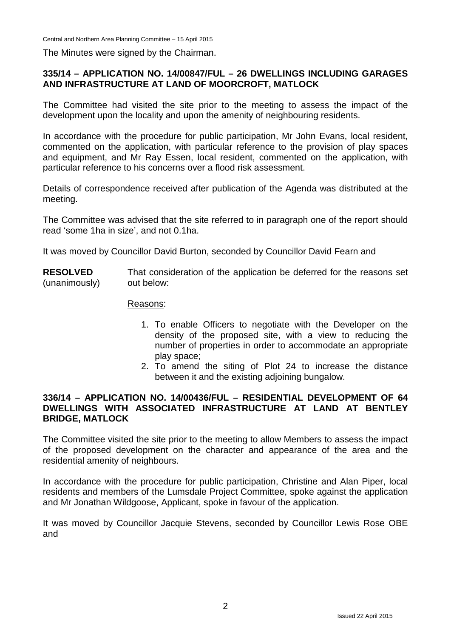The Minutes were signed by the Chairman.

# **335/14 – APPLICATION NO. 14/00847/FUL – 26 DWELLINGS INCLUDING GARAGES AND INFRASTRUCTURE AT LAND OF MOORCROFT, MATLOCK**

The Committee had visited the site prior to the meeting to assess the impact of the development upon the locality and upon the amenity of neighbouring residents.

In accordance with the procedure for public participation, Mr John Evans, local resident, commented on the application, with particular reference to the provision of play spaces and equipment, and Mr Ray Essen, local resident, commented on the application, with particular reference to his concerns over a flood risk assessment.

Details of correspondence received after publication of the Agenda was distributed at the meeting.

The Committee was advised that the site referred to in paragraph one of the report should read 'some 1ha in size', and not 0.1ha.

It was moved by Councillor David Burton, seconded by Councillor David Fearn and

**RESOLVED** (unanimously) That consideration of the application be deferred for the reasons set out below:

Reasons:

- 1. To enable Officers to negotiate with the Developer on the density of the proposed site, with a view to reducing the number of properties in order to accommodate an appropriate play space;
- 2. To amend the siting of Plot 24 to increase the distance between it and the existing adjoining bungalow.

## **336/14 – APPLICATION NO. 14/00436/FUL – RESIDENTIAL DEVELOPMENT OF 64 DWELLINGS WITH ASSOCIATED INFRASTRUCTURE AT LAND AT BENTLEY BRIDGE, MATLOCK**

The Committee visited the site prior to the meeting to allow Members to assess the impact of the proposed development on the character and appearance of the area and the residential amenity of neighbours.

In accordance with the procedure for public participation, Christine and Alan Piper, local residents and members of the Lumsdale Project Committee, spoke against the application and Mr Jonathan Wildgoose, Applicant, spoke in favour of the application.

It was moved by Councillor Jacquie Stevens, seconded by Councillor Lewis Rose OBE and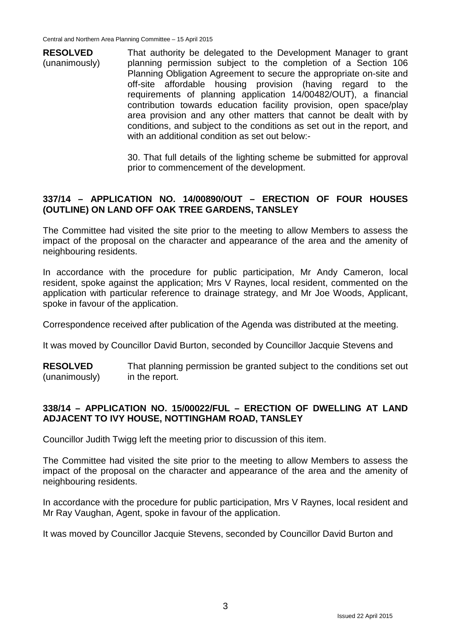**RESOLVED** (unanimously) That authority be delegated to the Development Manager to grant planning permission subject to the completion of a Section 106 Planning Obligation Agreement to secure the appropriate on-site and off-site affordable housing provision (having regard to the requirements of planning application 14/00482/OUT), a financial contribution towards education facility provision, open space/play area provision and any other matters that cannot be dealt with by conditions, and subject to the conditions as set out in the report, and with an additional condition as set out below:-

> 30. That full details of the lighting scheme be submitted for approval prior to commencement of the development.

## **337/14 – APPLICATION NO. 14/00890/OUT – ERECTION OF FOUR HOUSES (OUTLINE) ON LAND OFF OAK TREE GARDENS, TANSLEY**

The Committee had visited the site prior to the meeting to allow Members to assess the impact of the proposal on the character and appearance of the area and the amenity of neighbouring residents.

In accordance with the procedure for public participation, Mr Andy Cameron, local resident, spoke against the application; Mrs V Raynes, local resident, commented on the application with particular reference to drainage strategy, and Mr Joe Woods, Applicant, spoke in favour of the application.

Correspondence received after publication of the Agenda was distributed at the meeting.

It was moved by Councillor David Burton, seconded by Councillor Jacquie Stevens and

**RESOLVED** (unanimously) That planning permission be granted subject to the conditions set out in the report.

# **338/14 – APPLICATION NO. 15/00022/FUL – ERECTION OF DWELLING AT LAND ADJACENT TO IVY HOUSE, NOTTINGHAM ROAD, TANSLEY**

Councillor Judith Twigg left the meeting prior to discussion of this item.

The Committee had visited the site prior to the meeting to allow Members to assess the impact of the proposal on the character and appearance of the area and the amenity of neighbouring residents.

In accordance with the procedure for public participation, Mrs V Raynes, local resident and Mr Ray Vaughan, Agent, spoke in favour of the application.

It was moved by Councillor Jacquie Stevens, seconded by Councillor David Burton and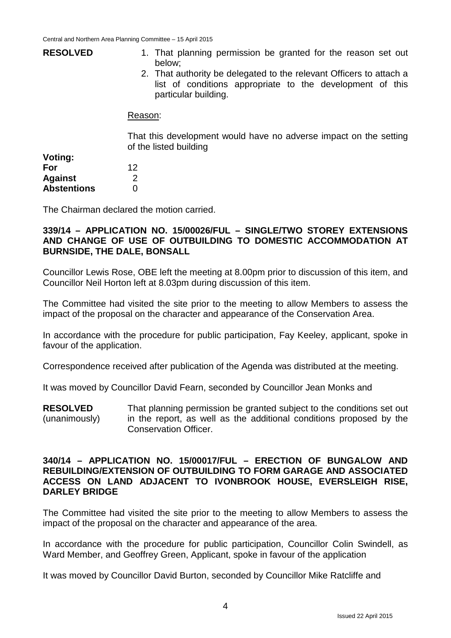| <b>RESOLVED</b> | 1. That planning permission be granted for the reason set out<br>below:<br>2. That authority be delegated to the relevant Officers to attach a<br>list of conditions appropriate to the development of this<br>particular building. |
|-----------------|-------------------------------------------------------------------------------------------------------------------------------------------------------------------------------------------------------------------------------------|
|                 | Reason:                                                                                                                                                                                                                             |
|                 | That this development would have no adverse impact on the setting<br>of the listed building                                                                                                                                         |
| Voting:         |                                                                                                                                                                                                                                     |
| For             | 12                                                                                                                                                                                                                                  |
| <b>Against</b>  | 2                                                                                                                                                                                                                                   |

The Chairman declared the motion carried.

0

**Abstentions**

#### **339/14 – APPLICATION NO. 15/00026/FUL – SINGLE/TWO STOREY EXTENSIONS AND CHANGE OF USE OF OUTBUILDING TO DOMESTIC ACCOMMODATION AT BURNSIDE, THE DALE, BONSALL**

Councillor Lewis Rose, OBE left the meeting at 8.00pm prior to discussion of this item, and Councillor Neil Horton left at 8.03pm during discussion of this item.

The Committee had visited the site prior to the meeting to allow Members to assess the impact of the proposal on the character and appearance of the Conservation Area.

In accordance with the procedure for public participation, Fay Keeley, applicant, spoke in favour of the application.

Correspondence received after publication of the Agenda was distributed at the meeting.

It was moved by Councillor David Fearn, seconded by Councillor Jean Monks and

**RESOLVED** (unanimously) That planning permission be granted subject to the conditions set out in the report, as well as the additional conditions proposed by the Conservation Officer.

#### **340/14 – APPLICATION NO. 15/00017/FUL – ERECTION OF BUNGALOW AND REBUILDING/EXTENSION OF OUTBUILDING TO FORM GARAGE AND ASSOCIATED ACCESS ON LAND ADJACENT TO IVONBROOK HOUSE, EVERSLEIGH RISE, DARLEY BRIDGE**

The Committee had visited the site prior to the meeting to allow Members to assess the impact of the proposal on the character and appearance of the area.

In accordance with the procedure for public participation, Councillor Colin Swindell, as Ward Member, and Geoffrey Green, Applicant, spoke in favour of the application

It was moved by Councillor David Burton, seconded by Councillor Mike Ratcliffe and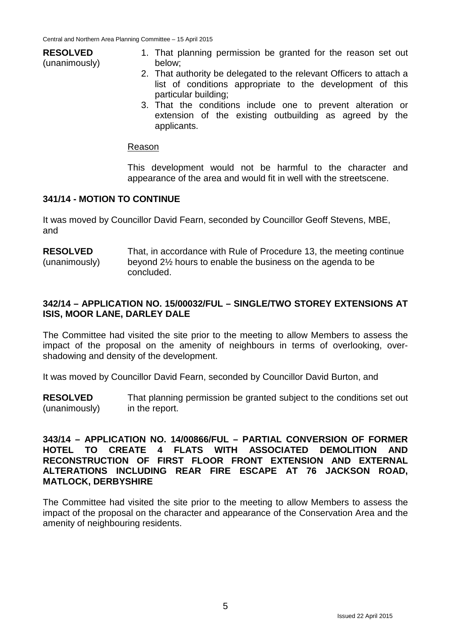# **RESOLVED**

(unanimously)

- 1. That planning permission be granted for the reason set out below;
- 2. That authority be delegated to the relevant Officers to attach a list of conditions appropriate to the development of this particular building;
- 3. That the conditions include one to prevent alteration or extension of the existing outbuilding as agreed by the applicants.

#### Reason

This development would not be harmful to the character and appearance of the area and would fit in well with the streetscene.

## **341/14 - MOTION TO CONTINUE**

It was moved by Councillor David Fearn, seconded by Councillor Geoff Stevens, MBE, and

**RESOLVED** (unanimously) That, in accordance with Rule of Procedure 13, the meeting continue beyond 2½ hours to enable the business on the agenda to be concluded.

## **342/14 – APPLICATION NO. 15/00032/FUL – SINGLE/TWO STOREY EXTENSIONS AT ISIS, MOOR LANE, DARLEY DALE**

The Committee had visited the site prior to the meeting to allow Members to assess the impact of the proposal on the amenity of neighbours in terms of overlooking, overshadowing and density of the development.

It was moved by Councillor David Fearn, seconded by Councillor David Burton, and

**RESOLVED** (unanimously) That planning permission be granted subject to the conditions set out in the report.

#### **343/14 – APPLICATION NO. 14/00866/FUL – PARTIAL CONVERSION OF FORMER HOTEL TO CREATE 4 FLATS WITH ASSOCIATED DEMOLITION AND RECONSTRUCTION OF FIRST FLOOR FRONT EXTENSION AND EXTERNAL ALTERATIONS INCLUDING REAR FIRE ESCAPE AT 76 JACKSON ROAD, MATLOCK, DERBYSHIRE**

The Committee had visited the site prior to the meeting to allow Members to assess the impact of the proposal on the character and appearance of the Conservation Area and the amenity of neighbouring residents.